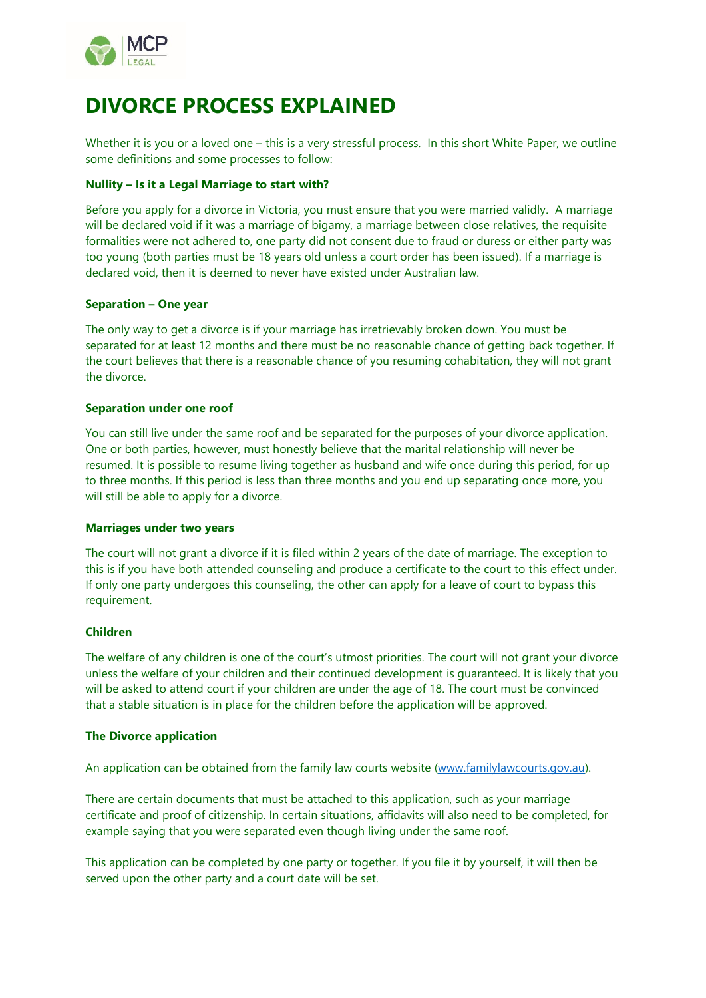

# **DIVORCE PROCESS EXPLAINED**

Whether it is you or a loved one – this is a very stressful process. In this short White Paper, we outline some definitions and some processes to follow:

### **Nullity – Is it a Legal Marriage to start with?**

Before you apply for a divorce in Victoria, you must ensure that you were married validly. A marriage will be declared void if it was a marriage of bigamy, a marriage between close relatives, the requisite formalities were not adhered to, one party did not consent due to fraud or duress or either party was too young (both parties must be 18 years old unless a court order has been issued). If a marriage is declared void, then it is deemed to never have existed under Australian law.

### **Separation – One year**

The only way to get a divorce is if your marriage has irretrievably broken down. You must be separated for at least 12 months and there must be no reasonable chance of getting back together. If the court believes that there is a reasonable chance of you resuming cohabitation, they will not grant the divorce.

### **Separation under one roof**

You can still live under the same roof and be separated for the purposes of your divorce application. One or both parties, however, must honestly believe that the marital relationship will never be resumed. It is possible to resume living together as husband and wife once during this period, for up to three months. If this period is less than three months and you end up separating once more, you will still be able to apply for a divorce.

### **Marriages under two years**

The court will not grant a divorce if it is filed within 2 years of the date of marriage. The exception to this is if you have both attended counseling and produce a certificate to the court to this effect under. If only one party undergoes this counseling, the other can apply for a leave of court to bypass this requirement.

### **Children**

The welfare of any children is one of the court's utmost priorities. The court will not grant your divorce unless the welfare of your children and their continued development is guaranteed. It is likely that you will be asked to attend court if your children are under the age of 18. The court must be convinced that a stable situation is in place for the children before the application will be approved.

#### **The Divorce application**

An application can be obtained from the family law courts website [\(www.familylawcourts.gov.au\)](http://www.familylawcourts.gov.au/).

There are certain documents that must be attached to this application, such as your marriage certificate and proof of citizenship. In certain situations, affidavits will also need to be completed, for example saying that you were separated even though living under the same roof.

This application can be completed by one party or together. If you file it by yourself, it will then be served upon the other party and a court date will be set.